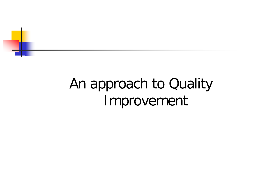

# An approach to Quality Improvement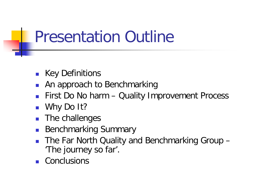# Presentation Outline

- Key Definitions
- An approach to Benchmarking
- First Do No harm Quality Improvement Process
- Why Do It?
- The challenges
- Benchmarking Summary
- The Far North Quality and Benchmarking Group 'The journey so far'.
- **Conclusions**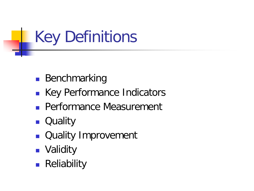# Key Definitions

- **Benchmarking**
- **Key Performance Indicators**
- **Performance Measurement**
- **D** Quality
- **Quality Improvement**
- **Nalidity**
- **Reliability**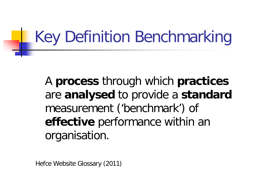# Key Definition Benchmarking

A **process** through which **practices** are **analysed** to provide a **standard**  measurement ('benchmark') of **effective** performance within an organisation.

Hefce Website Glossary (2011)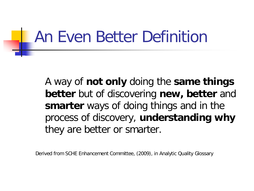# An Even Better Definition

A way of **not only** doing the **same things better** but of discovering **new, better** and **smarter** ways of doing things and in the process of discovery, **understanding why**  they are better or smarter.

Derived from SCHE Enhancement Committee, (2009), in Analytic Quality Glossary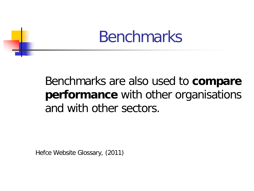

### Benchmarks are also used to **compare performance** with other organisations and with other sectors.

Hefce Website Glossary, (2011)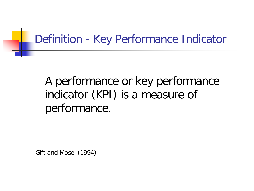#### Definition - Key Performance Indicator

### A performance or key performance indicator (KPI) is a measure of performance.

Gift and Mosel (1994)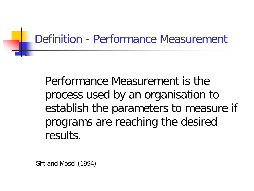### Definition - Performance Measurement

Performance Measurement is the process used by an organisation to establish the parameters to measure if programs are reaching the desired results.

Gift and Mosel (1994)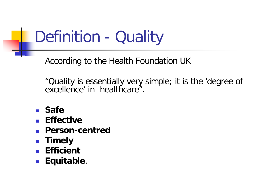# Definition - Quality

According to the Health Foundation UK

"Quality is essentially very simple; it is the 'degree of excellence' in healthcare".

- **Safe**
- **Effective**
- **Person-centred**
- **E** Timely
- **Efficient**
- **Equitable**.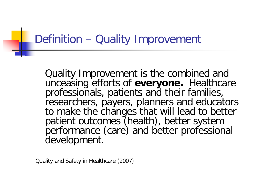### Definition – Quality Improvement

Quality Improvement is the combined and unceasing efforts of **everyone.** Healthcare professionals, patients and their families, researchers, payers, planners and educators to make the changes that will lead to better patient outcomes (health), better system performance (care) and better professional development.

Quality and Safety in Healthcare (2007)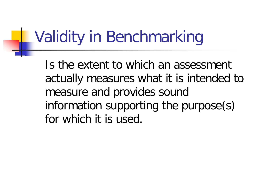# Validity in Benchmarking

Is the extent to which an assessment actually measures what it is intended to measure and provides sound information supporting the purpose(s) for which it is used.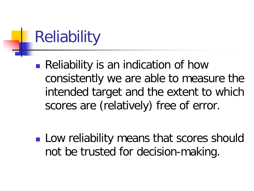# Reliability

**Reliability is an indication of how** consistently we are able to measure the intended target and the extent to which scores are (relatively) free of error.

**Low reliability means that scores should** not be trusted for decision-making.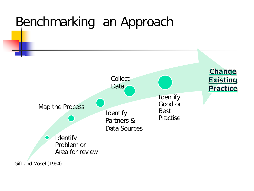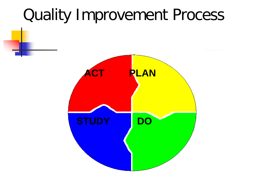# Quality Improvement Process

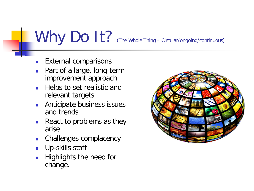# Why Do It? (The Whole Thing – Circular/ongoing/continuous)

- External comparisons
- Part of a large, long-term improvement approach
- **Helps to set realistic and** relevant targets
- **Anticipate business issues** and trends
- React to problems as they arise
- **EXECUTE:** Challenges complacency
- **Up-skills staff**
- Highlights the need for change.

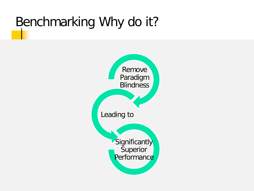### Benchmarking Why do it?

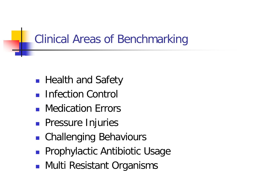### Clinical Areas of Benchmarking

- **Health and Safety**
- **Infection Control**
- **Nedication Frrors**
- **Pressure Injuries**
- Challenging Behaviours
- **Prophylactic Antibiotic Usage**
- **Multi Resistant Organisms**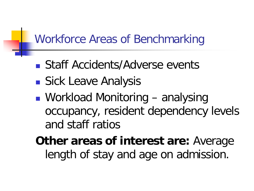#### Workforce Areas of Benchmarking

- Staff Accidents/Adverse events
- **Sick Leave Analysis**
- Workload Monitoring analysing occupancy, resident dependency levels and staff ratios

**Other areas of interest are:** Average length of stay and age on admission.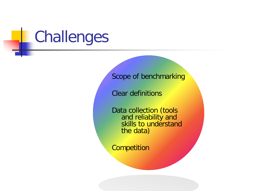# Challenges

Scope of benchmarking

Clear definitions

Data collection (tools and reliability and skills to understand the data)

**Competition**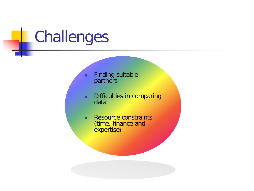# Challenges

**Finding suitable** partners

- **Difficulties in comparing** data
- **Resource constraints** (time, finance and expertise)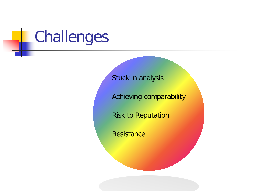# Challenges

Stuck in analysis

Achieving comparability

Risk to Reputation

**Resistance**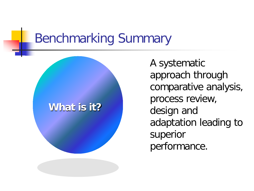### Benchmarking Summary

#### **What is it?**

A systematic approach through comparative analysis, process review, design and adaptation leading to superior performance.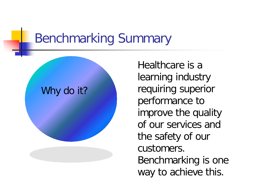### Benchmarking Summary

#### Why do it?

Healthcare is a learning industry requiring superior performance to improve the quality of our services and the safety of our customers. Benchmarking is one way to achieve this.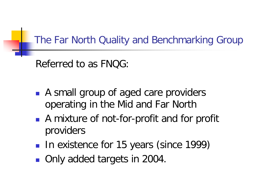#### The Far North Quality and Benchmarking Group

Referred to as FNQG:

- A small group of aged care providers operating in the Mid and Far North
- A mixture of not-for-profit and for profit providers
- In existence for 15 years (since 1999)
- Only added targets in 2004.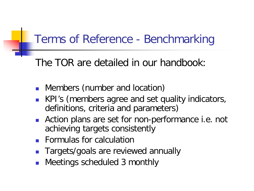#### Terms of Reference - Benchmarking

The TOR are detailed in our handbook:

- **Nembers (number and location)**
- KPI's (members agree and set quality indicators, definitions, criteria and parameters)
- **Action plans are set for non-performance i.e. not** achieving targets consistently
- **Formulas for calculation**
- Targets/goals are reviewed annually
- Meetings scheduled 3 monthly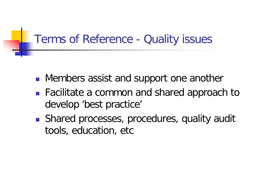#### Terms of Reference - Quality issues

- **Members assist and support one another**
- Facilitate a common and shared approach to develop 'best practice'
- Shared processes, procedures, quality audit tools, education, etc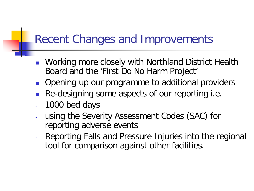#### Recent Changes and Improvements

- **Norking more closely with Northland District Health** Board and the 'First Do No Harm Project'
- Opening up our programme to additional providers
- Re-designing some aspects of our reporting i.e.
- 1000 bed days
- using the Severity Assessment Codes (SAC) for reporting adverse events
- Reporting Falls and Pressure Injuries into the regional tool for comparison against other facilities.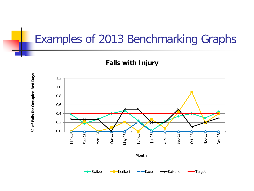#### Examples of 2013 Benchmarking Graphs

**Falls with Injury**

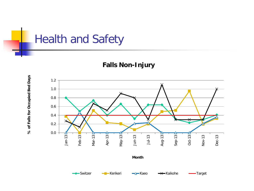

**Falls Non-Injury**

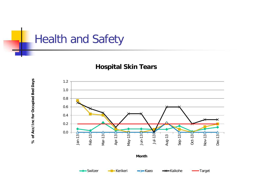

**% of Acc/Inc for Occupied Bed Days**

% of Acc/Inc for Occupied Bed Days

#### **Hospital Skin Tears**

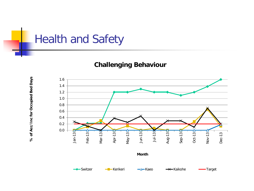

**% of Acc/Inc for Occupied Bed Days**

% of Acc/Inc for Occupied Bed Days

#### **Challenging Behaviour**

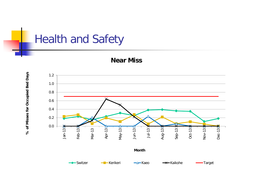

**Near Miss**

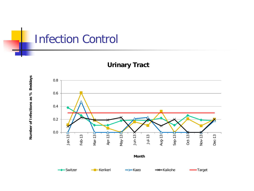

**Urinary Tract**

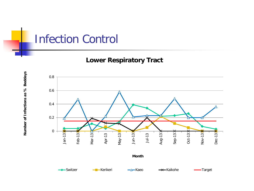#### Infection Control

**Lower Respiratory Tract**

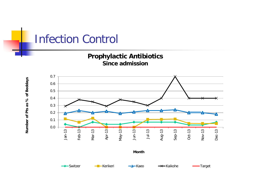#### Infection Control





Number of Pts as % of Beddays **Number of Pts as % of Beddays**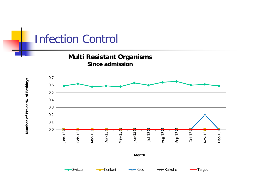# Infection Control

**Multi Resistant Organisms Since admission**

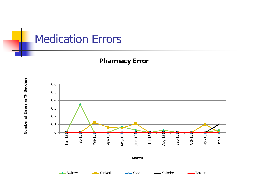

#### **Pharmacy Error**

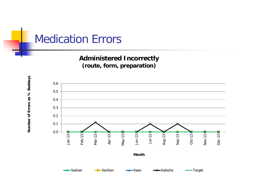#### Medication Errors

#### **Administered Incorrectly (route, form, preparation)**

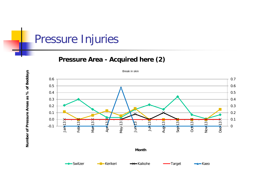#### Pressure Injuries

**Number of Pressure Areas as % of Beddays**

Number of Pressure Areas as % of Beddays

#### **Pressure Area - Acquired here (2)**



Break in skin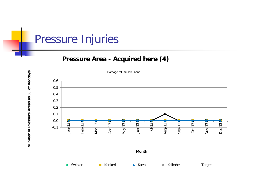#### Pressure Injuries

#### **Pressure Area - Acquired here (4)**



Damage fat, muscle, bone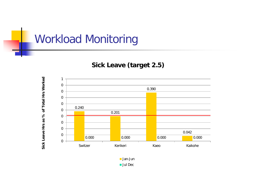

#### **Sick Leave (target 2.5)**



Jan-Jun ■ Jul Dec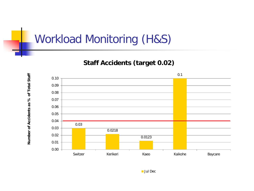#### Workload Monitoring (H&S)

#### **Staff Accidents (target 0.02)**



Number of Accidents as % of Total Staff **Number of Accidents as % of Total Staff**

**Jul Dec**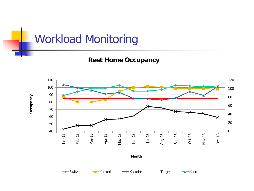**Rest Home Occupancy**

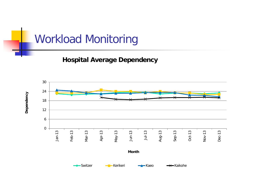**Hospital Average Dependency**

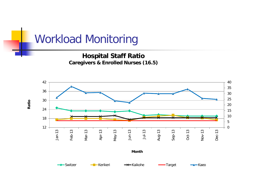**Hospital Staff Ratio Caregivers & Enrolled Nurses (16.5)**

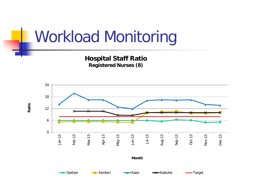**Hospital Staff Ratio Registered Nurses (8)**

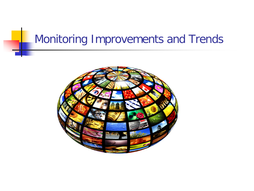#### Monitoring Improvements and Trends

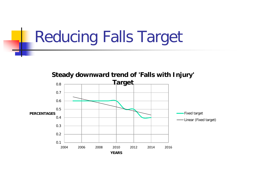# Reducing Falls Target

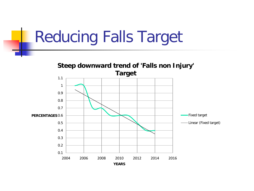# Reducing Falls Target

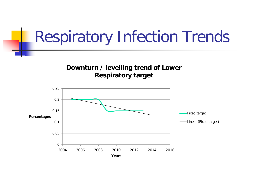## Respiratory Infection Trends

**Downturn / levelling trend of Lower Respiratory target**

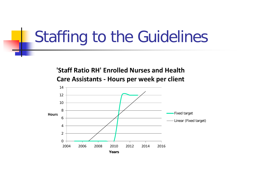## Staffing to the Guidelines

**'Staff Ratio RH' Enrolled Nurses and Health Care Assistants - Hours per week per client**

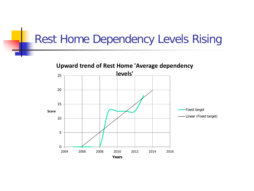#### Rest Home Dependency Levels Rising

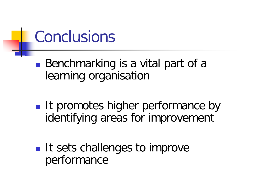# Conclusions

■ Benchmarking is a vital part of a learning organisation

- **If promotes higher performance by** identifying areas for improvement
- **If sets challenges to improve** performance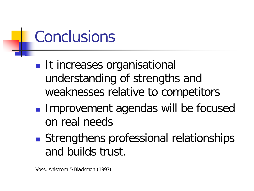# Conclusions

- **It increases organisational** understanding of strengths and weaknesses relative to competitors
- **Improvement agendas will be focused** on real needs
- Strengthens professional relationships and builds trust.

Voss, Ahlstrom & Blackmon (1997)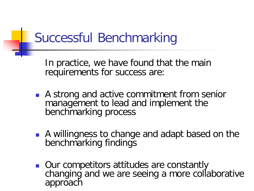### Successful Benchmarking

In practice, we have found that the main requirements for success are:

- A strong and active commitment from senior management to lead and implement the benchmarking process
- A willingness to change and adapt based on the benchmarking findings
- **Que competitors attitudes are constantly** changing and we are seeing a more collaborative approach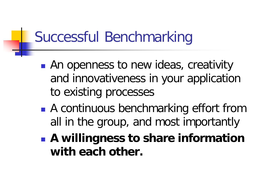## Successful Benchmarking

- **An openness to new ideas, creativity** and innovativeness in your application to existing processes
- A continuous benchmarking effort from all in the group, and most importantly
- **A willingness to share information with each other.**